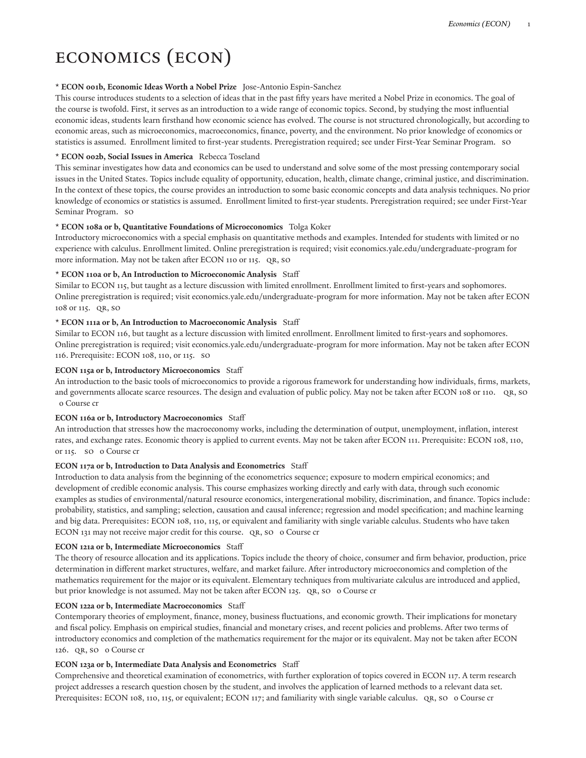#### **\* ECON 001b, Economic Ideas Worth a Nobel Prize** Jose-Antonio Espin-Sanchez

This course introduces students to a selection of ideas that in the past fiy years have merited a Nobel Prize in economics. The goal of the course is twofold. First, it serves as an introduction to a wide range of economic topics. Second, by studying the most influential economic ideas, students learn firsthand how economic science has evolved. The course is not structured chronologically, but according to economic areas, such as microeconomics, macroeconomics, finance, poverty, and the environment. No prior knowledge of economics or statistics is assumed. Enrollment limited to first-year students. Preregistration required; see under First-Year Seminar Program. SO

## **\* ECON 002b, Social Issues in America** Rebecca Toseland

This seminar investigates how data and economics can be used to understand and solve some of the most pressing contemporary social issues in the United States. Topics include equality of opportunity, education, health, climate change, criminal justice, and discrimination. In the context of these topics, the course provides an introduction to some basic economic concepts and data analysis techniques. No prior knowledge of economics or statistics is assumed. Enrollment limited to first-year students. Preregistration required; see under First-Year Seminar Program. SO

#### **\* ECON 108a or b, Quantitative Foundations of Microeconomics** Tolga Koker

Introductory microeconomics with a special emphasis on quantitative methods and examples. Intended for students with limited or no experience with calculus. Enrollment limited. Online preregistration is required; visit economics.yale.edu/undergraduate-program for more information. May not be taken after ECON 110 or 115. QR, SO

#### **\* ECON 110a or b, An Introduction to Microeconomic Analysis** Staff

Similar to ECON 115, but taught as a lecture discussion with limited enrollment. Enrollment limited to first-years and sophomores. Online preregistration is required; visit economics.yale.edu/undergraduate-program for more information. May not be taken after ECON 108 or 115. QR, SO

#### **\* ECON 111a or b, An Introduction to Macroeconomic Analysis** Staff

Similar to ECON 116, but taught as a lecture discussion with limited enrollment. Enrollment limited to first-years and sophomores. Online preregistration is required; visit economics.yale.edu/undergraduate-program for more information. May not be taken after ECON 116. Prerequisite: ECON 108, 110, or 115. SO

#### **ECON 115a or b, Introductory Microeconomics** Staff

An introduction to the basic tools of microeconomics to provide a rigorous framework for understanding how individuals, firms, markets, and governments allocate scarce resources. The design and evaluation of public policy. May not be taken after ECON 108 or 110. QR, SO 0 Course cr

#### **ECON 116a or b, Introductory Macroeconomics** Staff

An introduction that stresses how the macroeconomy works, including the determination of output, unemployment, inflation, interest rates, and exchange rates. Economic theory is applied to current events. May not be taken after ECON 111. Prerequisite: ECON 108, 110, or 115. so o Course cr

#### **ECON 117a or b, Introduction to Data Analysis and Econometrics** Staff

Introduction to data analysis from the beginning of the econometrics sequence; exposure to modern empirical economics; and development of credible economic analysis. This course emphasizes working directly and early with data, through such economic examples as studies of environmental/natural resource economics, intergenerational mobility, discrimination, and finance. Topics include: probability, statistics, and sampling; selection, causation and causal inference; regression and model specification; and machine learning and big data. Prerequisites: ECON 108, 110, 115, or equivalent and familiarity with single variable calculus. Students who have taken ECON 131 may not receive major credit for this course. QR, SO 0 Course cr

#### **ECON 121a or b, Intermediate Microeconomics** Staff

The theory of resource allocation and its applications. Topics include the theory of choice, consumer and firm behavior, production, price determination in different market structures, welfare, and market failure. After introductory microeconomics and completion of the mathematics requirement for the major or its equivalent. Elementary techniques from multivariate calculus are introduced and applied, but prior knowledge is not assumed. May not be taken after ECON 125. QR, SO o Course cr

#### **ECON 122a or b, Intermediate Macroeconomics** Staff

Contemporary theories of employment, finance, money, business fluctuations, and economic growth. Their implications for monetary and fiscal policy. Emphasis on empirical studies, financial and monetary crises, and recent policies and problems. After two terms of introductory economics and completion of the mathematics requirement for the major or its equivalent. May not be taken after ECON 126. QR, SO 0 Course cr

#### **ECON 123a or b, Intermediate Data Analysis and Econometrics** Staff

Comprehensive and theoretical examination of econometrics, with further exploration of topics covered in ECON 117. A term research project addresses a research question chosen by the student, and involves the application of learned methods to a relevant data set. Prerequisites: ECON 108, 110, 115, or equivalent; ECON 117; and familiarity with single variable calculus. QR, SO 0 Course cr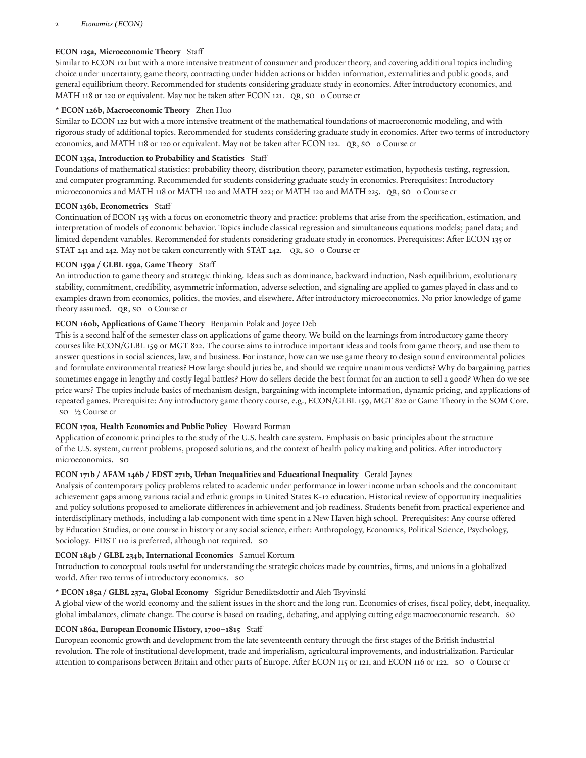## **ECON 125a, Microeconomic Theory** Staff

Similar to ECON 121 but with a more intensive treatment of consumer and producer theory, and covering additional topics including choice under uncertainty, game theory, contracting under hidden actions or hidden information, externalities and public goods, and general equilibrium theory. Recommended for students considering graduate study in economics. After introductory economics, and MATH 118 or 120 or equivalent. May not be taken after ECON 121. QR, SO o Course cr

## **\* ECON 126b, Macroeconomic Theory** Zhen Huo

Similar to ECON 122 but with a more intensive treatment of the mathematical foundations of macroeconomic modeling, and with rigorous study of additional topics. Recommended for students considering graduate study in economics. After two terms of introductory economics, and MATH 118 or 120 or equivalent. May not be taken after ECON 122. QR, SO o Course cr

# **ECON 135a, Introduction to Probability and Statistics** Staff

Foundations of mathematical statistics: probability theory, distribution theory, parameter estimation, hypothesis testing, regression, and computer programming. Recommended for students considering graduate study in economics. Prerequisites: Introductory microeconomics and MATH 118 or MATH 120 and MATH 222; or MATH 120 and MATH 225. QR, SO 0 Course cr

# **ECON 136b, Econometrics** Staff

Continuation of ECON 135 with a focus on econometric theory and practice: problems that arise from the specification, estimation, and interpretation of models of economic behavior. Topics include classical regression and simultaneous equations models; panel data; and limited dependent variables. Recommended for students considering graduate study in economics. Prerequisites: After ECON 135 or STAT 241 and 242. May not be taken concurrently with STAT 242. QR, SO 0 Course cr

# **ECON 159a / GLBL 159a, Game Theory** Staff

An introduction to game theory and strategic thinking. Ideas such as dominance, backward induction, Nash equilibrium, evolutionary stability, commitment, credibility, asymmetric information, adverse selection, and signaling are applied to games played in class and to examples drawn from economics, politics, the movies, and elsewhere. After introductory microeconomics. No prior knowledge of game theory assumed. QR, SO 0 Course cr

# **ECON 160b, Applications of Game Theory** Benjamin Polak and Joyee Deb

This is a second half of the semester class on applications of game theory. We build on the learnings from introductory game theory courses like ECON/GLBL 159 or MGT 822. The course aims to introduce important ideas and tools from game theory, and use them to answer questions in social sciences, law, and business. For instance, how can we use game theory to design sound environmental policies and formulate environmental treaties? How large should juries be, and should we require unanimous verdicts? Why do bargaining parties sometimes engage in lengthy and costly legal battles? How do sellers decide the best format for an auction to sell a good? When do we see price wars? The topics include basics of mechanism design, bargaining with incomplete information, dynamic pricing, and applications of repeated games. Prerequisite: Any introductory game theory course, e.g., ECON/GLBL 159, MGT 822 or Game Theory in the SOM Core. SO ½ Course cr

## **ECON 170a, Health Economics and Public Policy** Howard Forman

Application of economic principles to the study of the U.S. health care system. Emphasis on basic principles about the structure of the U.S. system, current problems, proposed solutions, and the context of health policy making and politics. After introductory microeconomics. SO

# **ECON 171b / AFAM 146b / EDST 271b, Urban Inequalities and Educational Inequality** Gerald Jaynes

Analysis of contemporary policy problems related to academic under performance in lower income urban schools and the concomitant achievement gaps among various racial and ethnic groups in United States K-12 education. Historical review of opportunity inequalities and policy solutions proposed to ameliorate differences in achievement and job readiness. Students benefit from practical experience and interdisciplinary methods, including a lab component with time spent in a New Haven high school. Prerequisites: Any course offered by Education Studies, or one course in history or any social science, either: Anthropology, Economics, Political Science, Psychology, Sociology. EDST 110 is preferred, although not required. SO

# **ECON 184b / GLBL 234b, International Economics** Samuel Kortum

Introduction to conceptual tools useful for understanding the strategic choices made by countries, firms, and unions in a globalized world. After two terms of introductory economics. so

# **\* ECON 185a / GLBL 237a, Global Economy** Sigridur Benediktsdottir and Aleh Tsyvinski

A global view of the world economy and the salient issues in the short and the long run. Economics of crises, fiscal policy, debt, inequality, global imbalances, climate change. The course is based on reading, debating, and applying cutting edge macroeconomic research. SO

## **ECON 186a, European Economic History, 1700–1815** Staff

European economic growth and development from the late seventeenth century through the first stages of the British industrial revolution. The role of institutional development, trade and imperialism, agricultural improvements, and industrialization. Particular attention to comparisons between Britain and other parts of Europe. After ECON 115 or 121, and ECON 116 or 122. So o Course cr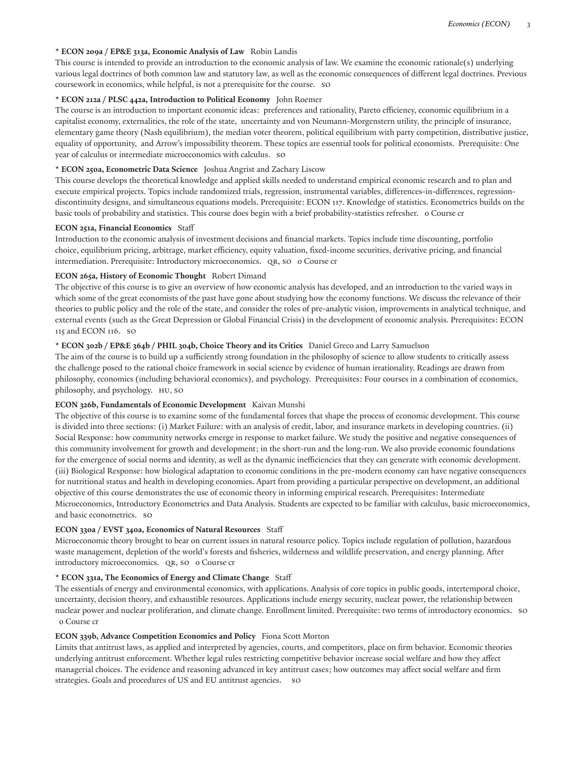## **\* ECON 209a / EP&E 313a, Economic Analysis of Law** Robin Landis

This course is intended to provide an introduction to the economic analysis of law. We examine the economic rationale(s) underlying various legal doctrines of both common law and statutory law, as well as the economic consequences of different legal doctrines. Previous coursework in economics, while helpful, is not a prerequisite for the course. SO

## **\* ECON 212a / PLSC 442a, Introduction to Political Economy** John Roemer

The course is an introduction to important economic ideas: preferences and rationality, Pareto efficiency, economic equilibrium in a capitalist economy, externalities, the role of the state, uncertainty and von Neumann-Morgenstern utility, the principle of insurance, elementary game theory (Nash equilibrium), the median voter theorem, political equilibrium with party competition, distributive justice, equality of opportunity, and Arrow's impossibility theorem. These topics are essential tools for political economists. Prerequisite: One year of calculus or intermediate microeconomics with calculus. SO

## **\* ECON 250a, Econometric Data Science** Joshua Angrist and Zachary Liscow

This course develops the theoretical knowledge and applied skills needed to understand empirical economic research and to plan and execute empirical projects. Topics include randomized trials, regression, instrumental variables, differences-in-differences, regressiondiscontinuity designs, and simultaneous equations models. Prerequisite: ECON 117. Knowledge of statistics. Econometrics builds on the basic tools of probability and statistics. This course does begin with a brief probability-statistics refresher. 0 Course cr

## **ECON 251a, Financial Economics** Staff

Introduction to the economic analysis of investment decisions and financial markets. Topics include time discounting, portfolio choice, equilibrium pricing, arbitrage, market efficiency, equity valuation, fixed-income securities, derivative pricing, and financial intermediation. Prerequisite: Introductory microeconomics. QR, SO 0 Course cr

## **ECON 265a, History of Economic Thought** Robert Dimand

The objective of this course is to give an overview of how economic analysis has developed, and an introduction to the varied ways in which some of the great economists of the past have gone about studying how the economy functions. We discuss the relevance of their theories to public policy and the role of the state, and consider the roles of pre-analytic vision, improvements in analytical technique, and external events (such as the Great Depression or Global Financial Crisis) in the development of economic analysis. Prerequisites: ECON 115 and ECON 116. SO

## **\* ECON 302b / EP&E 364b / PHIL 304b, Choice Theory and its Critics** Daniel Greco and Larry Samuelson

The aim of the course is to build up a sufficiently strong foundation in the philosophy of science to allow students to critically assess the challenge posed to the rational choice framework in social science by evidence of human irrationality. Readings are drawn from philosophy, economics (including behavioral economics), and psychology. Prerequisites: Four courses in a combination of economics, philosophy, and psychology. HU, SO

## **ECON 326b, Fundamentals of Economic Development** Kaivan Munshi

The objective of this course is to examine some of the fundamental forces that shape the process of economic development. This course is divided into three sections: (i) Market Failure: with an analysis of credit, labor, and insurance markets in developing countries. (ii) Social Response: how community networks emerge in response to market failure. We study the positive and negative consequences of this community involvement for growth and development; in the short-run and the long-run. We also provide economic foundations for the emergence of social norms and identity, as well as the dynamic inefficiencies that they can generate with economic development. (iii) Biological Response: how biological adaptation to economic conditions in the pre-modern economy can have negative consequences for nutritional status and health in developing economies. Apart from providing a particular perspective on development, an additional objective of this course demonstrates the use of economic theory in informing empirical research. Prerequisites: Intermediate Microeconomics, Introductory Econometrics and Data Analysis. Students are expected to be familiar with calculus, basic microeconomics, and basic econometrics. SO

#### **ECON 330a / EVST 340a, Economics of Natural Resources** Staff

Microeconomic theory brought to bear on current issues in natural resource policy. Topics include regulation of pollution, hazardous waste management, depletion of the world's forests and fisheries, wilderness and wildlife preservation, and energy planning. After introductory microeconomics. QR, SO 0 Course cr

#### **\* ECON 331a, The Economics of Energy and Climate Change** Staff

The essentials of energy and environmental economics, with applications. Analysis of core topics in public goods, intertemporal choice, uncertainty, decision theory, and exhaustible resources. Applications include energy security, nuclear power, the relationship between nuclear power and nuclear proliferation, and climate change. Enrollment limited. Prerequisite: two terms of introductory economics. SO 0 Course cr

#### **ECON 339b, Advance Competition Economics and Policy** Fiona Scott Morton

Limits that antitrust laws, as applied and interpreted by agencies, courts, and competitors, place on firm behavior. Economic theories underlying antitrust enforcement. Whether legal rules restricting competitive behavior increase social welfare and how they affect managerial choices. The evidence and reasoning advanced in key antitrust cases; how outcomes may affect social welfare and firm strategies. Goals and procedures of US and EU antitrust agencies. SO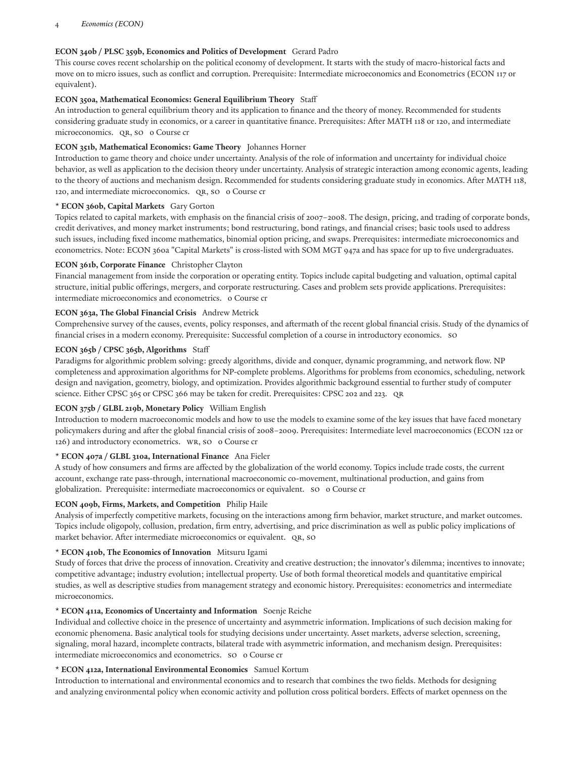## **ECON 340b / PLSC 359b, Economics and Politics of Development** Gerard Padro

This course coves recent scholarship on the political economy of development. It starts with the study of macro-historical facts and move on to micro issues, such as conflict and corruption. Prerequisite: Intermediate microeconomics and Econometrics (ECON 117 or equivalent).

## **ECON 350a, Mathematical Economics: General Equilibrium Theory** Staff

An introduction to general equilibrium theory and its application to finance and the theory of money. Recommended for students considering graduate study in economics, or a career in quantitative finance. Prerequisites: After MATH 118 or 120, and intermediate microeconomics. QR, SO 0 Course cr

# **ECON 351b, Mathematical Economics: Game Theory** Johannes Horner

Introduction to game theory and choice under uncertainty. Analysis of the role of information and uncertainty for individual choice behavior, as well as application to the decision theory under uncertainty. Analysis of strategic interaction among economic agents, leading to the theory of auctions and mechanism design. Recommended for students considering graduate study in economics. After MATH 118, 120, and intermediate microeconomics. QR, SO 0 Course cr

## **\* ECON 360b, Capital Markets** Gary Gorton

Topics related to capital markets, with emphasis on the financial crisis of 2007–2008. The design, pricing, and trading of corporate bonds, credit derivatives, and money market instruments; bond restructuring, bond ratings, and financial crises; basic tools used to address such issues, including fixed income mathematics, binomial option pricing, and swaps. Prerequisites: intermediate microeconomics and econometrics. Note: ECON 360a "Capital Markets" is cross-listed with SOM MGT 947a and has space for up to five undergraduates.

## **ECON 361b, Corporate Finance** Christopher Clayton

Financial management from inside the corporation or operating entity. Topics include capital budgeting and valuation, optimal capital structure, initial public offerings, mergers, and corporate restructuring. Cases and problem sets provide applications. Prerequisites: intermediate microeconomics and econometrics. 0 Course cr

## **ECON 363a, The Global Financial Crisis** Andrew Metrick

Comprehensive survey of the causes, events, policy responses, and aftermath of the recent global financial crisis. Study of the dynamics of financial crises in a modern economy. Prerequisite: Successful completion of a course in introductory economics. SO

## **ECON 365b / CPSC 365b, Algorithms** Staff

Paradigms for algorithmic problem solving: greedy algorithms, divide and conquer, dynamic programming, and network flow. NP completeness and approximation algorithms for NP-complete problems. Algorithms for problems from economics, scheduling, network design and navigation, geometry, biology, and optimization. Provides algorithmic background essential to further study of computer science. Either CPSC 365 or CPSC 366 may be taken for credit. Prerequisites: CPSC 202 and 223. QR

## **ECON 375b / GLBL 219b, Monetary Policy** William English

Introduction to modern macroeconomic models and how to use the models to examine some of the key issues that have faced monetary policymakers during and after the global financial crisis of 2008-2009. Prerequisites: Intermediate level macroeconomics (ECON 122 or 126) and introductory econometrics. WR, SO 0 Course cr

## **\* ECON 407a / GLBL 310a, International Finance** Ana Fieler

A study of how consumers and firms are affected by the globalization of the world economy. Topics include trade costs, the current account, exchange rate pass-through, international macroeconomic co-movement, multinational production, and gains from globalization. Prerequisite: intermediate macroeconomics or equivalent. so o Course cr

## **ECON 409b, Firms, Markets, and Competition** Philip Haile

Analysis of imperfectly competitive markets, focusing on the interactions among firm behavior, market structure, and market outcomes. Topics include oligopoly, collusion, predation, firm entry, advertising, and price discrimination as well as public policy implications of market behavior. After intermediate microeconomics or equivalent. QR, SO

#### **\* ECON 410b, The Economics of Innovation** Mitsuru Igami

Study of forces that drive the process of innovation. Creativity and creative destruction; the innovator's dilemma; incentives to innovate; competitive advantage; industry evolution; intellectual property. Use of both formal theoretical models and quantitative empirical studies, as well as descriptive studies from management strategy and economic history. Prerequisites: econometrics and intermediate microeconomics.

#### **\* ECON 411a, Economics of Uncertainty and Information** Soenje Reiche

Individual and collective choice in the presence of uncertainty and asymmetric information. Implications of such decision making for economic phenomena. Basic analytical tools for studying decisions under uncertainty. Asset markets, adverse selection, screening, signaling, moral hazard, incomplete contracts, bilateral trade with asymmetric information, and mechanism design. Prerequisites: intermediate microeconomics and econometrics. so o Course cr

## **\* ECON 412a, International Environmental Economics** Samuel Kortum

Introduction to international and environmental economics and to research that combines the two fields. Methods for designing and analyzing environmental policy when economic activity and pollution cross political borders. Effects of market openness on the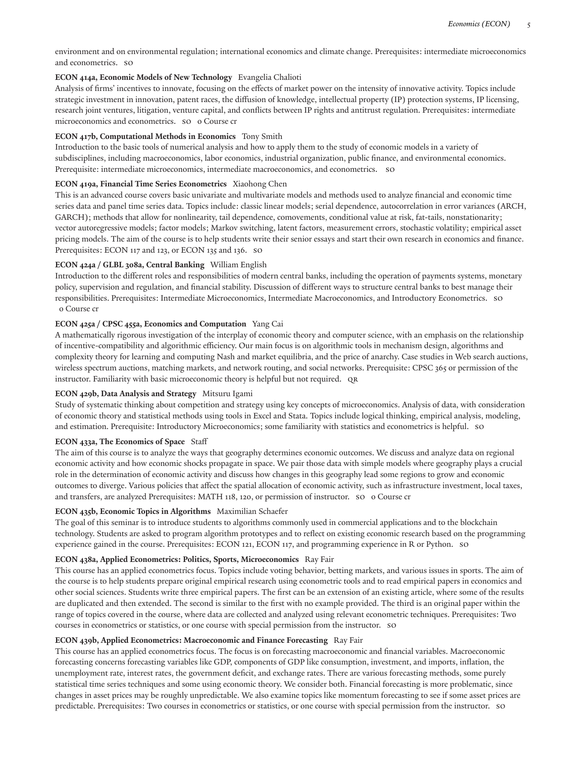environment and on environmental regulation; international economics and climate change. Prerequisites: intermediate microeconomics and econometrics. SO

## **ECON 414a, Economic Models of New Technology** Evangelia Chalioti

Analysis of firms' incentives to innovate, focusing on the effects of market power on the intensity of innovative activity. Topics include strategic investment in innovation, patent races, the diffusion of knowledge, intellectual property (IP) protection systems, IP licensing, research joint ventures, litigation, venture capital, and conflicts between IP rights and antitrust regulation. Prerequisites: intermediate microeconomics and econometrics. so o Course cr

## **ECON 417b, Computational Methods in Economics** Tony Smith

Introduction to the basic tools of numerical analysis and how to apply them to the study of economic models in a variety of subdisciplines, including macroeconomics, labor economics, industrial organization, public finance, and environmental economics. Prerequisite: intermediate microeconomics, intermediate macroeconomics, and econometrics. SO

## **ECON 419a, Financial Time Series Econometrics** Xiaohong Chen

This is an advanced course covers basic univariate and multivariate models and methods used to analyze financial and economic time series data and panel time series data. Topics include: classic linear models; serial dependence, autocorrelation in error variances (ARCH, GARCH); methods that allow for nonlinearity, tail dependence, comovements, conditional value at risk, fat-tails, nonstationarity; vector autoregressive models; factor models; Markov switching, latent factors, measurement errors, stochastic volatility; empirical asset pricing models. The aim of the course is to help students write their senior essays and start their own research in economics and finance. Prerequisites: ECON 117 and 123, or ECON 135 and 136. SO

## **ECON 424a / GLBL 308a, Central Banking** William English

Introduction to the different roles and responsibilities of modern central banks, including the operation of payments systems, monetary policy, supervision and regulation, and financial stability. Discussion of different ways to structure central banks to best manage their responsibilities. Prerequisites: Intermediate Microeconomics, Intermediate Macroeconomics, and Introductory Econometrics. SO 0 Course cr

## **ECON 425a / CPSC 455a, Economics and Computation** Yang Cai

A mathematically rigorous investigation of the interplay of economic theory and computer science, with an emphasis on the relationship of incentive-compatibility and algorithmic efficiency. Our main focus is on algorithmic tools in mechanism design, algorithms and complexity theory for learning and computing Nash and market equilibria, and the price of anarchy. Case studies in Web search auctions, wireless spectrum auctions, matching markets, and network routing, and social networks. Prerequisite: CPSC 365 or permission of the instructor. Familiarity with basic microeconomic theory is helpful but not required. QR

#### **ECON 429b, Data Analysis and Strategy** Mitsuru Igami

Study of systematic thinking about competition and strategy using key concepts of microeconomics. Analysis of data, with consideration of economic theory and statistical methods using tools in Excel and Stata. Topics include logical thinking, empirical analysis, modeling, and estimation. Prerequisite: Introductory Microeconomics; some familiarity with statistics and econometrics is helpful. SO

#### **ECON 433a, The Economics of Space** Staff

The aim of this course is to analyze the ways that geography determines economic outcomes. We discuss and analyze data on regional economic activity and how economic shocks propagate in space. We pair those data with simple models where geography plays a crucial role in the determination of economic activity and discuss how changes in this geography lead some regions to grow and economic outcomes to diverge. Various policies that affect the spatial allocation of economic activity, such as infrastructure investment, local taxes, and transfers, are analyzed Prerequisites: MATH 118, 120, or permission of instructor. SO o Course cr

## **ECON 435b, Economic Topics in Algorithms** Maximilian Schaefer

The goal of this seminar is to introduce students to algorithms commonly used in commercial applications and to the blockchain technology. Students are asked to program algorithm prototypes and to reflect on existing economic research based on the programming experience gained in the course. Prerequisites: ECON 121, ECON 117, and programming experience in R or Python. SO

#### **ECON 438a, Applied Econometrics: Politics, Sports, Microeconomics** Ray Fair

This course has an applied econometrics focus. Topics include voting behavior, betting markets, and various issues in sports. The aim of the course is to help students prepare original empirical research using econometric tools and to read empirical papers in economics and other social sciences. Students write three empirical papers. The first can be an extension of an existing article, where some of the results are duplicated and then extended. The second is similar to the first with no example provided. The third is an original paper within the range of topics covered in the course, where data are collected and analyzed using relevant econometric techniques. Prerequisites: Two courses in econometrics or statistics, or one course with special permission from the instructor. SO

#### **ECON 439b, Applied Econometrics: Macroeconomic and Finance Forecasting** Ray Fair

This course has an applied econometrics focus. The focus is on forecasting macroeconomic and financial variables. Macroeconomic forecasting concerns forecasting variables like GDP, components of GDP like consumption, investment, and imports, inflation, the unemployment rate, interest rates, the government deficit, and exchange rates. There are various forecasting methods, some purely statistical time series techniques and some using economic theory. We consider both. Financial forecasting is more problematic, since changes in asset prices may be roughly unpredictable. We also examine topics like momentum forecasting to see if some asset prices are predictable. Prerequisites: Two courses in econometrics or statistics, or one course with special permission from the instructor. SO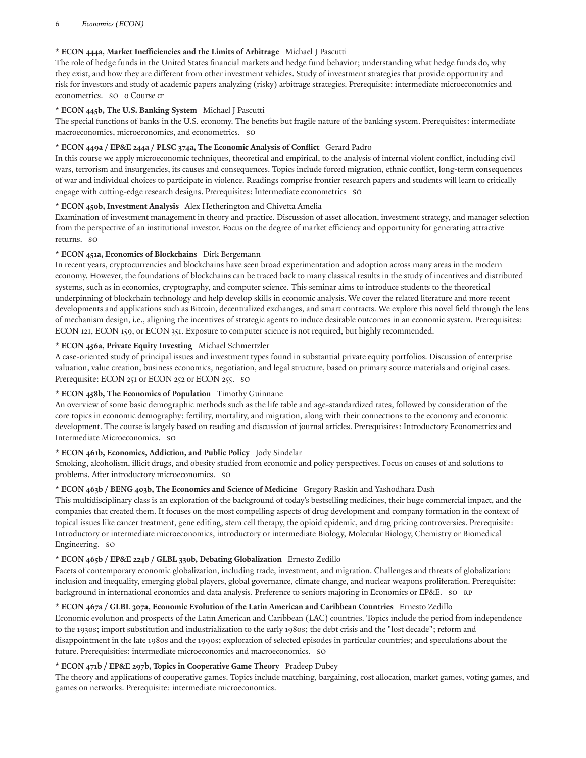# **\* ECON 444a, Market Inefficiencies and the Limits of Arbitrage** Michael J Pascutti

The role of hedge funds in the United States financial markets and hedge fund behavior; understanding what hedge funds do, why they exist, and how they are different from other investment vehicles. Study of investment strategies that provide opportunity and risk for investors and study of academic papers analyzing (risky) arbitrage strategies. Prerequisite: intermediate microeconomics and econometrics. so o Course cr

# **\* ECON 445b, The U.S. Banking System** Michael J Pascutti

The special functions of banks in the U.S. economy. The benefits but fragile nature of the banking system. Prerequisites: intermediate macroeconomics, microeconomics, and econometrics. SO

# **\* ECON 449a / EP&E 244a / PLSC 374a, The Economic Analysis of Conflict** Gerard Padro

In this course we apply microeconomic techniques, theoretical and empirical, to the analysis of internal violent conflict, including civil wars, terrorism and insurgencies, its causes and consequences. Topics include forced migration, ethnic conflict, long-term consequences of war and individual choices to participate in violence. Readings comprise frontier research papers and students will learn to critically engage with cutting-edge research designs. Prerequisites: Intermediate econometrics SO

# **\* ECON 450b, Investment Analysis** Alex Hetherington and Chivetta Amelia

Examination of investment management in theory and practice. Discussion of asset allocation, investment strategy, and manager selection from the perspective of an institutional investor. Focus on the degree of market efficiency and opportunity for generating attractive returns. SO

# **\* ECON 451a, Economics of Blockchains** Dirk Bergemann

In recent years, cryptocurrencies and blockchains have seen broad experimentation and adoption across many areas in the modern economy. However, the foundations of blockchains can be traced back to many classical results in the study of incentives and distributed systems, such as in economics, cryptography, and computer science. This seminar aims to introduce students to the theoretical underpinning of blockchain technology and help develop skills in economic analysis. We cover the related literature and more recent developments and applications such as Bitcoin, decentralized exchanges, and smart contracts. We explore this novel field through the lens of mechanism design, i.e., aligning the incentives of strategic agents to induce desirable outcomes in an economic system. Prerequisites: ECON 121, ECON 159, or ECON 351. Exposure to computer science is not required, but highly recommended.

# **\* ECON 456a, Private Equity Investing** Michael Schmertzler

A case-oriented study of principal issues and investment types found in substantial private equity portfolios. Discussion of enterprise valuation, value creation, business economics, negotiation, and legal structure, based on primary source materials and original cases. Prerequisite: ECON 251 or ECON 252 or ECON 255. SO

## **\* ECON 458b, The Economics of Population** Timothy Guinnane

An overview of some basic demographic methods such as the life table and age-standardized rates, followed by consideration of the core topics in economic demography: fertility, mortality, and migration, along with their connections to the economy and economic development. The course is largely based on reading and discussion of journal articles. Prerequisites: Introductory Econometrics and Intermediate Microeconomics. SO

# **\* ECON 461b, Economics, Addiction, and Public Policy** Jody Sindelar

Smoking, alcoholism, illicit drugs, and obesity studied from economic and policy perspectives. Focus on causes of and solutions to problems. After introductory microeconomics. so

# **\* ECON 463b / BENG 403b, The Economics and Science of Medicine** Gregory Raskin and Yashodhara Dash

This multidisciplinary class is an exploration of the background of today's bestselling medicines, their huge commercial impact, and the companies that created them. It focuses on the most compelling aspects of drug development and company formation in the context of topical issues like cancer treatment, gene editing, stem cell therapy, the opioid epidemic, and drug pricing controversies. Prerequisite: Introductory or intermediate microeconomics, introductory or intermediate Biology, Molecular Biology, Chemistry or Biomedical Engineering. SO

# **\* ECON 465b / EP&E 224b / GLBL 330b, Debating Globalization** Ernesto Zedillo

Facets of contemporary economic globalization, including trade, investment, and migration. Challenges and threats of globalization: inclusion and inequality, emerging global players, global governance, climate change, and nuclear weapons proliferation. Prerequisite: background in international economics and data analysis. Preference to seniors majoring in Economics or EP&E. SO RP

# **\* ECON 467a / GLBL 307a, Economic Evolution of the Latin American and Caribbean Countries** Ernesto Zedillo

Economic evolution and prospects of the Latin American and Caribbean (LAC) countries. Topics include the period from independence to the 1930s; import substitution and industrialization to the early 1980s; the debt crisis and the "lost decade"; reform and disappointment in the late 1980s and the 1990s; exploration of selected episodes in particular countries; and speculations about the future. Prerequisities: intermediate microeconomics and macroeconomics. SO

# **\* ECON 471b / EP&E 297b, Topics in Cooperative Game Theory** Pradeep Dubey

The theory and applications of cooperative games. Topics include matching, bargaining, cost allocation, market games, voting games, and games on networks. Prerequisite: intermediate microeconomics.